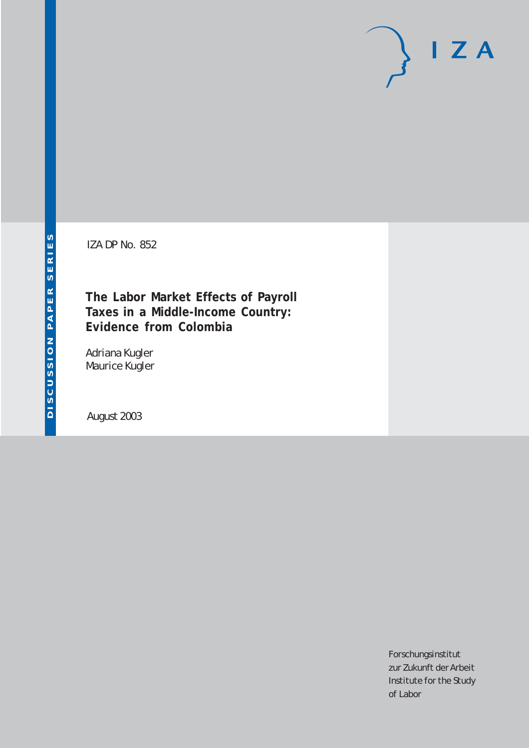# $I Z A$

IZA DP No. 852

#### **The Labor Market Effects of Payroll Taxes in a Middle-Income Country: Evidence from Colombia**

Adriana Kugler Maurice Kugler

August 2003

Forschungsinstitut zur Zukunft der Arbeit Institute for the Study of Labor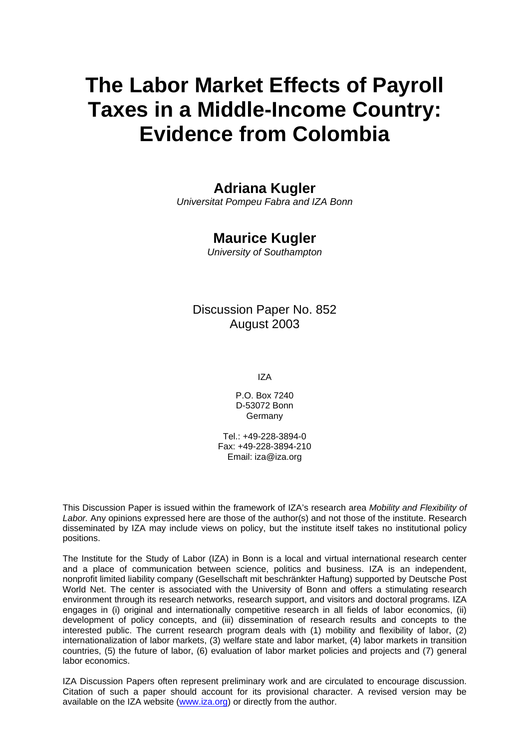## **The Labor Market Effects of Payroll Taxes in a Middle-Income Country: Evidence from Colombia**

#### **Adriana Kugler**

*Universitat Pompeu Fabra and IZA Bonn*

#### **Maurice Kugler**

*University of Southampton* 

#### Discussion Paper No. 852 August 2003

IZA

P.O. Box 7240 D-53072 Bonn Germany

Tel.: +49-228-3894-0 Fax: +49-228-3894-210 Email: [iza@iza.org](mailto:iza@iza.org)

This Discussion Paper is issued within the framework of IZA's research area *Mobility and Flexibility of Labor.* Any opinions expressed here are those of the author(s) and not those of the institute. Research disseminated by IZA may include views on policy, but the institute itself takes no institutional policy positions.

The Institute for the Study of Labor (IZA) in Bonn is a local and virtual international research center and a place of communication between science, politics and business. IZA is an independent, nonprofit limited liability company (Gesellschaft mit beschränkter Haftung) supported by Deutsche Post World Net. The center is associated with the University of Bonn and offers a stimulating research environment through its research networks, research support, and visitors and doctoral programs. IZA engages in (i) original and internationally competitive research in all fields of labor economics, (ii) development of policy concepts, and (iii) dissemination of research results and concepts to the interested public. The current research program deals with (1) mobility and flexibility of labor, (2) internationalization of labor markets, (3) welfare state and labor market, (4) labor markets in transition countries, (5) the future of labor, (6) evaluation of labor market policies and projects and (7) general labor economics.

IZA Discussion Papers often represent preliminary work and are circulated to encourage discussion. Citation of such a paper should account for its provisional character. A revised version may be available on the IZA website ([www.iza.org](http://www.iza.org/)) or directly from the author.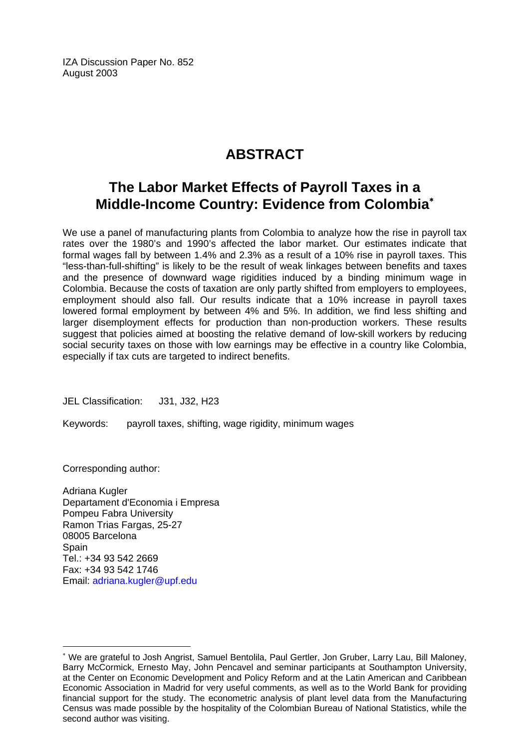IZA Discussion Paper No. 852 August 2003

#### **ABSTRACT**

#### **The Labor Market Effects of Payroll Taxes in a Middle-Income Country: Evidence from Colombia**[∗](#page-2-0)

We use a panel of manufacturing plants from Colombia to analyze how the rise in payroll tax rates over the 1980's and 1990's affected the labor market. Our estimates indicate that formal wages fall by between 1.4% and 2.3% as a result of a 10% rise in payroll taxes. This "less-than-full-shifting" is likely to be the result of weak linkages between benefits and taxes and the presence of downward wage rigidities induced by a binding minimum wage in Colombia. Because the costs of taxation are only partly shifted from employers to employees, employment should also fall. Our results indicate that a 10% increase in payroll taxes lowered formal employment by between 4% and 5%. In addition, we find less shifting and larger disemployment effects for production than non-production workers. These results suggest that policies aimed at boosting the relative demand of low-skill workers by reducing social security taxes on those with low earnings may be effective in a country like Colombia, especially if tax cuts are targeted to indirect benefits.

JEL Classification: J31, J32, H23

Keywords: payroll taxes, shifting, wage rigidity, minimum wages

Corresponding author:

 $\overline{a}$ 

Adriana Kugler Departament d'Economia i Empresa Pompeu Fabra University Ramon Trias Fargas, 25-27 08005 Barcelona **Spain** Tel.: +34 93 542 2669 Fax: +34 93 542 1746 Email: [adriana.kugler@upf.edu](mailto:adriana.kugler@upf.edu)

<span id="page-2-0"></span><sup>∗</sup> We are grateful to Josh Angrist, Samuel Bentolila, Paul Gertler, Jon Gruber, Larry Lau, Bill Maloney, Barry McCormick, Ernesto May, John Pencavel and seminar participants at Southampton University, at the Center on Economic Development and Policy Reform and at the Latin American and Caribbean Economic Association in Madrid for very useful comments, as well as to the World Bank for providing financial support for the study. The econometric analysis of plant level data from the Manufacturing Census was made possible by the hospitality of the Colombian Bureau of National Statistics, while the second author was visiting.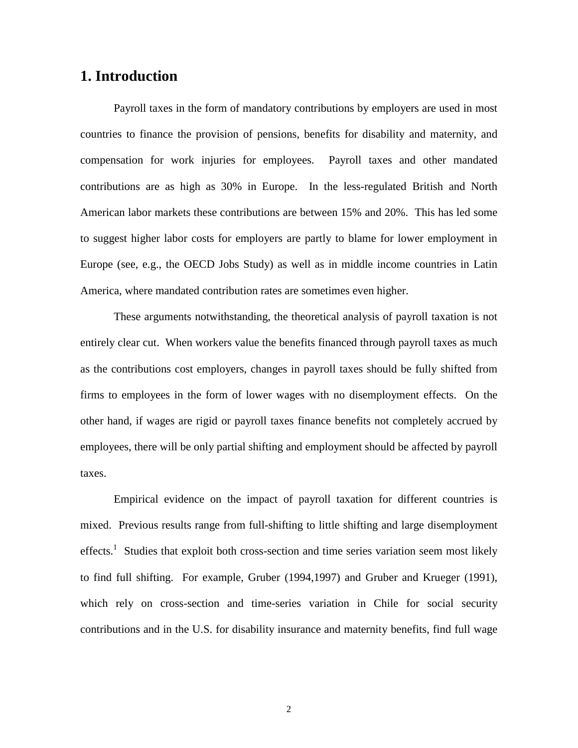#### **1. Introduction**

Payroll taxes in the form of mandatory contributions by employers are used in most countries to finance the provision of pensions, benefits for disability and maternity, and compensation for work injuries for employees. Payroll taxes and other mandated contributions are as high as 30% in Europe. In the less-regulated British and North American labor markets these contributions are between 15% and 20%. This has led some to suggest higher labor costs for employers are partly to blame for lower employment in Europe (see, e.g., the OECD Jobs Study) as well as in middle income countries in Latin America, where mandated contribution rates are sometimes even higher.

These arguments notwithstanding, the theoretical analysis of payroll taxation is not entirely clear cut. When workers value the benefits financed through payroll taxes as much as the contributions cost employers, changes in payroll taxes should be fully shifted from firms to employees in the form of lower wages with no disemployment effects. On the other hand, if wages are rigid or payroll taxes finance benefits not completely accrued by employees, there will be only partial shifting and employment should be affected by payroll taxes.

Empirical evidence on the impact of payroll taxation for different countries is mixed. Previous results range from full-shifting to little shifting and large disemployment effects.<sup>1</sup> Studies that exploit both cross-section and time series variation seem most likely to find full shifting. For example, Gruber (1994,1997) and Gruber and Krueger (1991), which rely on cross-section and time-series variation in Chile for social security contributions and in the U.S. for disability insurance and maternity benefits, find full wage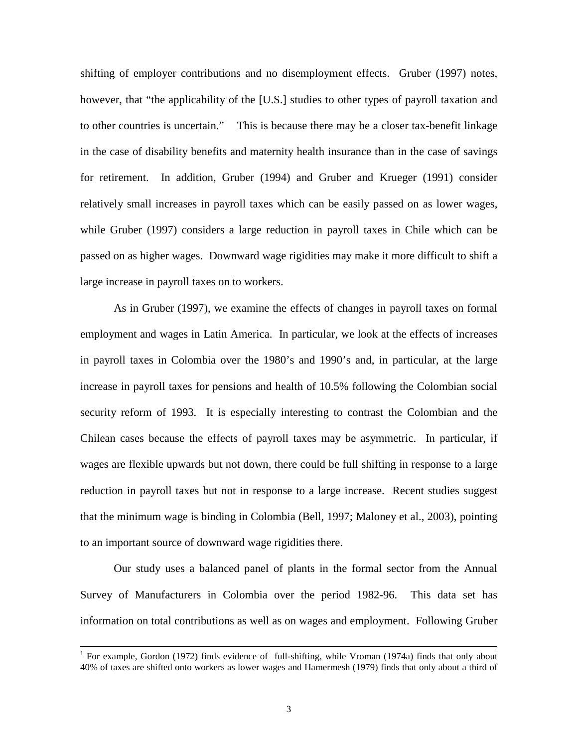shifting of employer contributions and no disemployment effects. Gruber (1997) notes, however, that "the applicability of the [U.S.] studies to other types of payroll taxation and to other countries is uncertain." This is because there may be a closer tax-benefit linkage in the case of disability benefits and maternity health insurance than in the case of savings for retirement. In addition, Gruber (1994) and Gruber and Krueger (1991) consider relatively small increases in payroll taxes which can be easily passed on as lower wages, while Gruber (1997) considers a large reduction in payroll taxes in Chile which can be passed on as higher wages. Downward wage rigidities may make it more difficult to shift a large increase in payroll taxes on to workers.

As in Gruber (1997), we examine the effects of changes in payroll taxes on formal employment and wages in Latin America. In particular, we look at the effects of increases in payroll taxes in Colombia over the 1980's and 1990's and, in particular, at the large increase in payroll taxes for pensions and health of 10.5% following the Colombian social security reform of 1993. It is especially interesting to contrast the Colombian and the Chilean cases because the effects of payroll taxes may be asymmetric. In particular, if wages are flexible upwards but not down, there could be full shifting in response to a large reduction in payroll taxes but not in response to a large increase. Recent studies suggest that the minimum wage is binding in Colombia (Bell, 1997; Maloney et al., 2003), pointing to an important source of downward wage rigidities there.

Our study uses a balanced panel of plants in the formal sector from the Annual Survey of Manufacturers in Colombia over the period 1982-96. This data set has information on total contributions as well as on wages and employment. Following Gruber

 $\frac{1}{1}$ <sup>1</sup> For example, Gordon (1972) finds evidence of full-shifting, while Vroman (1974a) finds that only about 40% of taxes are shifted onto workers as lower wages and Hamermesh (1979) finds that only about a third of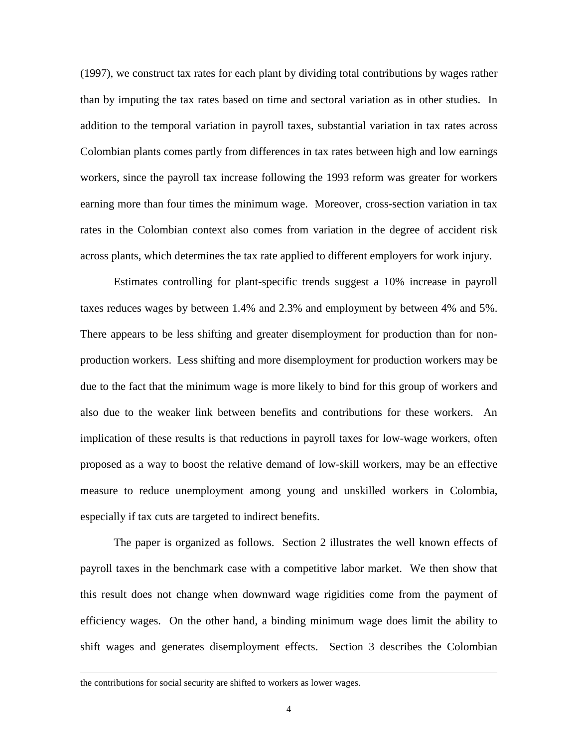(1997), we construct tax rates for each plant by dividing total contributions by wages rather than by imputing the tax rates based on time and sectoral variation as in other studies. In addition to the temporal variation in payroll taxes, substantial variation in tax rates across Colombian plants comes partly from differences in tax rates between high and low earnings workers, since the payroll tax increase following the 1993 reform was greater for workers earning more than four times the minimum wage. Moreover, cross-section variation in tax rates in the Colombian context also comes from variation in the degree of accident risk across plants, which determines the tax rate applied to different employers for work injury.

Estimates controlling for plant-specific trends suggest a 10% increase in payroll taxes reduces wages by between 1.4% and 2.3% and employment by between 4% and 5%. There appears to be less shifting and greater disemployment for production than for nonproduction workers. Less shifting and more disemployment for production workers may be due to the fact that the minimum wage is more likely to bind for this group of workers and also due to the weaker link between benefits and contributions for these workers. An implication of these results is that reductions in payroll taxes for low-wage workers, often proposed as a way to boost the relative demand of low-skill workers, may be an effective measure to reduce unemployment among young and unskilled workers in Colombia, especially if tax cuts are targeted to indirect benefits.

The paper is organized as follows. Section 2 illustrates the well known effects of payroll taxes in the benchmark case with a competitive labor market. We then show that this result does not change when downward wage rigidities come from the payment of efficiency wages. On the other hand, a binding minimum wage does limit the ability to shift wages and generates disemployment effects. Section 3 describes the Colombian

 $\overline{a}$ 

the contributions for social security are shifted to workers as lower wages.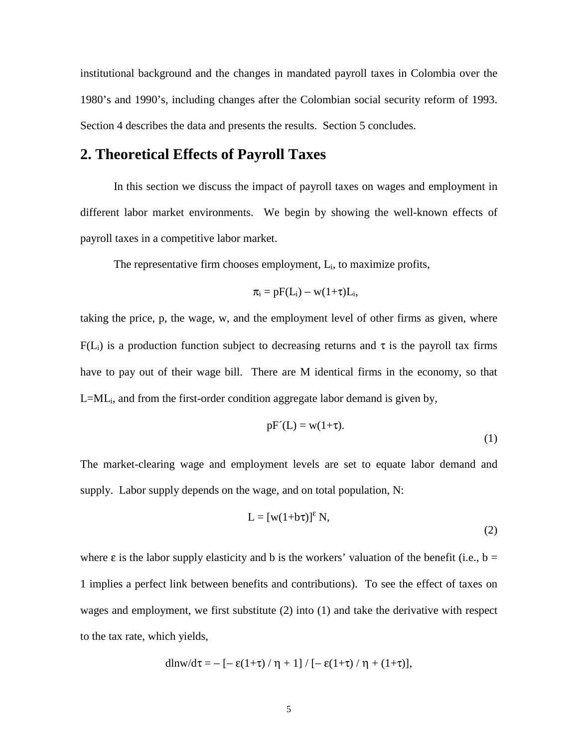institutional background and the changes in mandated payroll taxes in Colombia over the 1980's and 1990's, including changes after the Colombian social security reform of 1993. Section 4 describes the data and presents the results. Section 5 concludes.

#### **2. Theoretical Effects of Payroll Taxes**

In this section we discuss the impact of payroll taxes on wages and employment in different labor market environments. We begin by showing the well-known effects of payroll taxes in a competitive labor market.

The representative firm chooses employment,  $L_i$ , to maximize profits,

$$
\pi_i = pF(L_i) - w(1+\tau)L_i,
$$

taking the price, p, the wage, w, and the employment level of other firms as given, where  $F(L_i)$  is a production function subject to decreasing returns and  $\tau$  is the payroll tax firms have to pay out of their wage bill. There are M identical firms in the economy, so that L=MLi, and from the first-order condition aggregate labor demand is given by,

$$
pF'(L) = w(1+\tau). \tag{1}
$$

The market-clearing wage and employment levels are set to equate labor demand and supply. Labor supply depends on the wage, and on total population, N:

$$
L = [w(1+b\tau)]^{\epsilon} N,
$$
\n(2)

where  $\varepsilon$  is the labor supply elasticity and b is the workers' valuation of the benefit (i.e., b = 1 implies a perfect link between benefits and contributions). To see the effect of taxes on wages and employment, we first substitute (2) into (1) and take the derivative with respect to the tax rate, which yields,

$$
dln w/d\tau = -\left[-\epsilon(1+\tau)/\eta + 1\right]/\left[-\epsilon(1+\tau)/\eta + (1+\tau)\right],
$$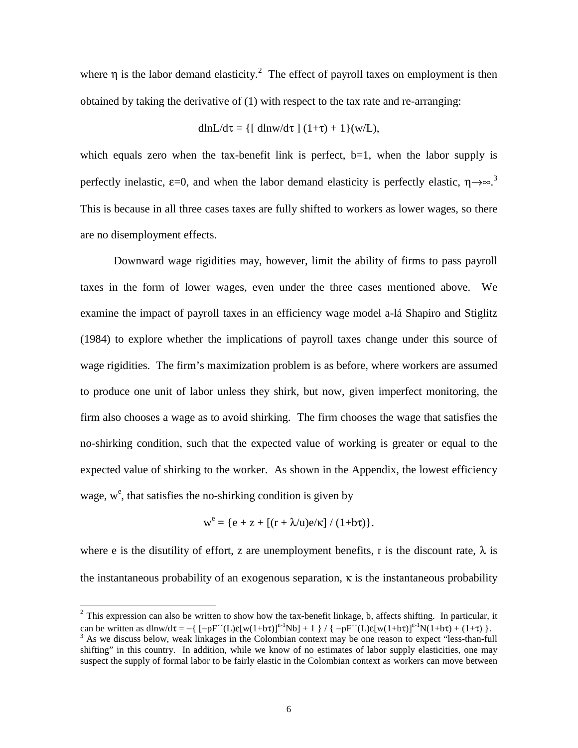where  $\eta$  is the labor demand elasticity.<sup>2</sup> The effect of payroll taxes on employment is then obtained by taking the derivative of (1) with respect to the tax rate and re-arranging:

$$
dlnL/d\tau = \{ [ \text{ dln}w/d\tau \ ] (1+\tau) + 1 \} (w/L),
$$

which equals zero when the tax-benefit link is perfect,  $b=1$ , when the labor supply is perfectly inelastic,  $\varepsilon$ =0, and when the labor demand elasticity is perfectly elastic,  $\eta \rightarrow \infty$ .<sup>3</sup> This is because in all three cases taxes are fully shifted to workers as lower wages, so there are no disemployment effects.

Downward wage rigidities may, however, limit the ability of firms to pass payroll taxes in the form of lower wages, even under the three cases mentioned above. We examine the impact of payroll taxes in an efficiency wage model a-lá Shapiro and Stiglitz (1984) to explore whether the implications of payroll taxes change under this source of wage rigidities. The firm's maximization problem is as before, where workers are assumed to produce one unit of labor unless they shirk, but now, given imperfect monitoring, the firm also chooses a wage as to avoid shirking. The firm chooses the wage that satisfies the no-shirking condition, such that the expected value of working is greater or equal to the expected value of shirking to the worker. As shown in the Appendix, the lowest efficiency wage,  $w^e$ , that satisfies the no-shirking condition is given by

$$
w^{e} = \{e + z + \left[(r + \lambda/u)e/\kappa\right] / (1+b\tau)\}.
$$

where e is the disutility of effort, z are unemployment benefits, r is the discount rate,  $\lambda$  is the instantaneous probability of an exogenous separation, κ is the instantaneous probability

l

 $2$  This expression can also be written to show how the tax-benefit linkage, b, affects shifting. In particular, it can be written as dlnw/dτ = -{ $[-pF''(L)\varepsilon[w(1+b\tau)]^{\varepsilon-1}Nb] + 1$  } / { $-pF''(L)\varepsilon[w(1+b\tau)]^{\varepsilon-1}N(1+b\tau) + (1+\tau)$  }.

As we discuss below, weak linkages in the Colombian context may be one reason to expect "less-than-full shifting" in this country. In addition, while we know of no estimates of labor supply elasticities, one may suspect the supply of formal labor to be fairly elastic in the Colombian context as workers can move between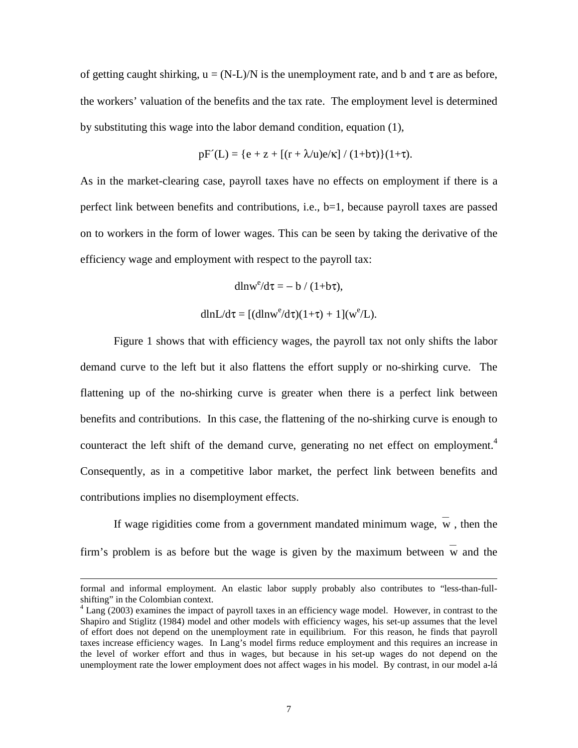of getting caught shirking,  $u = (N-L)/N$  is the unemployment rate, and b and  $\tau$  are as before, the workers' valuation of the benefits and the tax rate. The employment level is determined by substituting this wage into the labor demand condition, equation (1),

$$
pF'(L) = \{e + z + [(r + \lambda/u)e/\kappa] / (1+b\tau)\}(1+\tau).
$$

As in the market-clearing case, payroll taxes have no effects on employment if there is a perfect link between benefits and contributions, i.e., b=1, because payroll taxes are passed on to workers in the form of lower wages. This can be seen by taking the derivative of the efficiency wage and employment with respect to the payroll tax:

$$
dln w^e/d\tau = - b \; / \; (1+b\tau),
$$

$$
dlnL/d\tau = [(dlnw^e/d\tau)(1+\tau) + 1](w^e/L).
$$

Figure 1 shows that with efficiency wages, the payroll tax not only shifts the labor demand curve to the left but it also flattens the effort supply or no-shirking curve. The flattening up of the no-shirking curve is greater when there is a perfect link between benefits and contributions. In this case, the flattening of the no-shirking curve is enough to counteract the left shift of the demand curve, generating no net effect on employment.<sup>4</sup> Consequently, as in a competitive labor market, the perfect link between benefits and contributions implies no disemployment effects.

If wage rigidities come from a government mandated minimum wage,  $w$ , then the firm's problem is as before but the wage is given by the maximum between w and the

-

formal and informal employment. An elastic labor supply probably also contributes to "less-than-fullshifting" in the Colombian context.

<sup>&</sup>lt;sup>4</sup> Lang (2003) examines the impact of payroll taxes in an efficiency wage model. However, in contrast to the Shapiro and Stiglitz (1984) model and other models with efficiency wages, his set-up assumes that the level of effort does not depend on the unemployment rate in equilibrium. For this reason, he finds that payroll taxes increase efficiency wages. In Lang's model firms reduce employment and this requires an increase in the level of worker effort and thus in wages, but because in his set-up wages do not depend on the unemployment rate the lower employment does not affect wages in his model. By contrast, in our model a-lá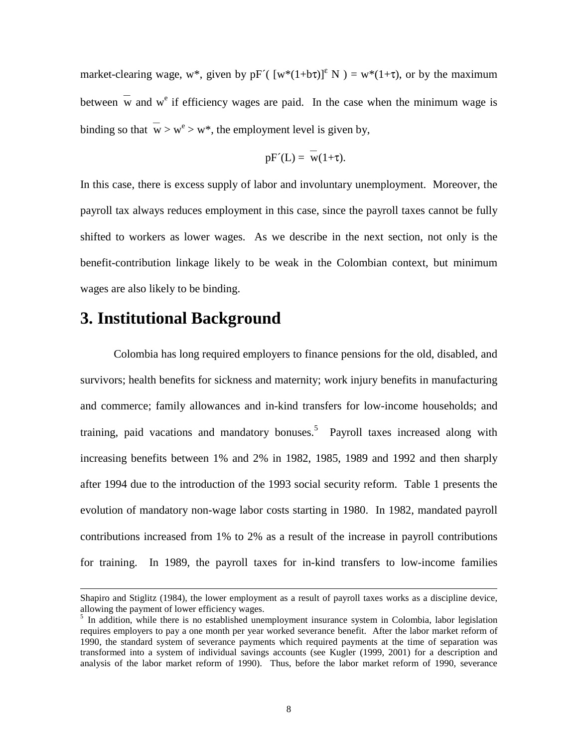market-clearing wage, w<sup>\*</sup>, given by pF<sup>'</sup>( $[w*(1+b\tau)]^{\epsilon}$  N) = w<sup>\*</sup>(1+ $\tau$ ), or by the maximum between  $\overline{w}$  and  $w^e$  if efficiency wages are paid. In the case when the minimum wage is binding so that  $\overline{w} > w^e > w^*$ , the employment level is given by,

$$
pF'(L) = w(1+\tau).
$$

In this case, there is excess supply of labor and involuntary unemployment. Moreover, the payroll tax always reduces employment in this case, since the payroll taxes cannot be fully shifted to workers as lower wages. As we describe in the next section, not only is the benefit-contribution linkage likely to be weak in the Colombian context, but minimum wages are also likely to be binding.

#### **3. Institutional Background**

1

Colombia has long required employers to finance pensions for the old, disabled, and survivors; health benefits for sickness and maternity; work injury benefits in manufacturing and commerce; family allowances and in-kind transfers for low-income households; and training, paid vacations and mandatory bonuses.<sup>5</sup> Payroll taxes increased along with increasing benefits between 1% and 2% in 1982, 1985, 1989 and 1992 and then sharply after 1994 due to the introduction of the 1993 social security reform. Table 1 presents the evolution of mandatory non-wage labor costs starting in 1980. In 1982, mandated payroll contributions increased from 1% to 2% as a result of the increase in payroll contributions for training. In 1989, the payroll taxes for in-kind transfers to low-income families

Shapiro and Stiglitz (1984), the lower employment as a result of payroll taxes works as a discipline device, allowing the payment of lower efficiency wages.

<sup>&</sup>lt;sup>5</sup> In addition, while there is no established unemployment insurance system in Colombia, labor legislation requires employers to pay a one month per year worked severance benefit. After the labor market reform of 1990, the standard system of severance payments which required payments at the time of separation was transformed into a system of individual savings accounts (see Kugler (1999, 2001) for a description and analysis of the labor market reform of 1990). Thus, before the labor market reform of 1990, severance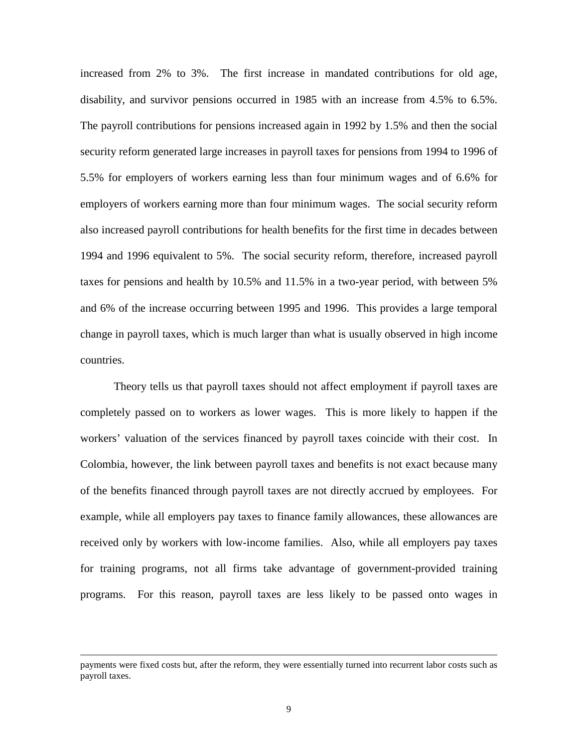increased from 2% to 3%. The first increase in mandated contributions for old age, disability, and survivor pensions occurred in 1985 with an increase from 4.5% to 6.5%. The payroll contributions for pensions increased again in 1992 by 1.5% and then the social security reform generated large increases in payroll taxes for pensions from 1994 to 1996 of 5.5% for employers of workers earning less than four minimum wages and of 6.6% for employers of workers earning more than four minimum wages. The social security reform also increased payroll contributions for health benefits for the first time in decades between 1994 and 1996 equivalent to 5%. The social security reform, therefore, increased payroll taxes for pensions and health by 10.5% and 11.5% in a two-year period, with between 5% and 6% of the increase occurring between 1995 and 1996. This provides a large temporal change in payroll taxes, which is much larger than what is usually observed in high income countries.

Theory tells us that payroll taxes should not affect employment if payroll taxes are completely passed on to workers as lower wages. This is more likely to happen if the workers' valuation of the services financed by payroll taxes coincide with their cost. In Colombia, however, the link between payroll taxes and benefits is not exact because many of the benefits financed through payroll taxes are not directly accrued by employees. For example, while all employers pay taxes to finance family allowances, these allowances are received only by workers with low-income families. Also, while all employers pay taxes for training programs, not all firms take advantage of government-provided training programs. For this reason, payroll taxes are less likely to be passed onto wages in

-

payments were fixed costs but, after the reform, they were essentially turned into recurrent labor costs such as payroll taxes.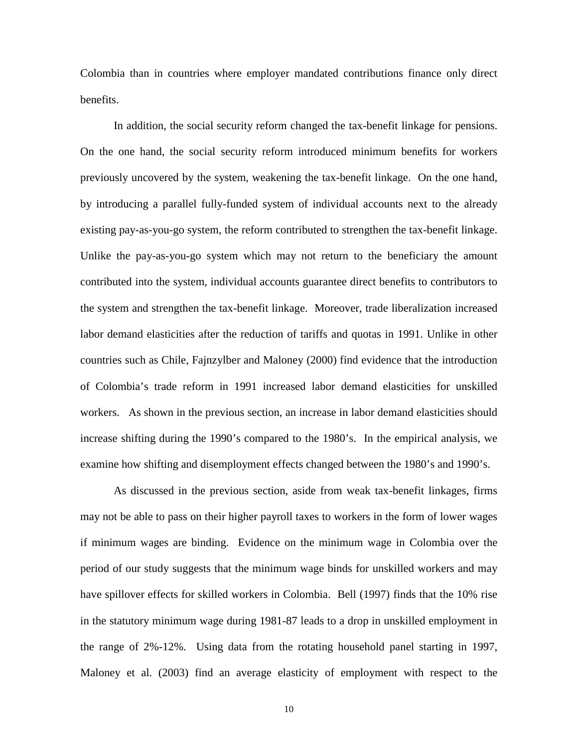Colombia than in countries where employer mandated contributions finance only direct benefits.

In addition, the social security reform changed the tax-benefit linkage for pensions. On the one hand, the social security reform introduced minimum benefits for workers previously uncovered by the system, weakening the tax-benefit linkage. On the one hand, by introducing a parallel fully-funded system of individual accounts next to the already existing pay-as-you-go system, the reform contributed to strengthen the tax-benefit linkage. Unlike the pay-as-you-go system which may not return to the beneficiary the amount contributed into the system, individual accounts guarantee direct benefits to contributors to the system and strengthen the tax-benefit linkage. Moreover, trade liberalization increased labor demand elasticities after the reduction of tariffs and quotas in 1991. Unlike in other countries such as Chile, Fajnzylber and Maloney (2000) find evidence that the introduction of Colombia's trade reform in 1991 increased labor demand elasticities for unskilled workers. As shown in the previous section, an increase in labor demand elasticities should increase shifting during the 1990's compared to the 1980's. In the empirical analysis, we examine how shifting and disemployment effects changed between the 1980's and 1990's.

As discussed in the previous section, aside from weak tax-benefit linkages, firms may not be able to pass on their higher payroll taxes to workers in the form of lower wages if minimum wages are binding. Evidence on the minimum wage in Colombia over the period of our study suggests that the minimum wage binds for unskilled workers and may have spillover effects for skilled workers in Colombia. Bell (1997) finds that the 10% rise in the statutory minimum wage during 1981-87 leads to a drop in unskilled employment in the range of 2%-12%. Using data from the rotating household panel starting in 1997, Maloney et al. (2003) find an average elasticity of employment with respect to the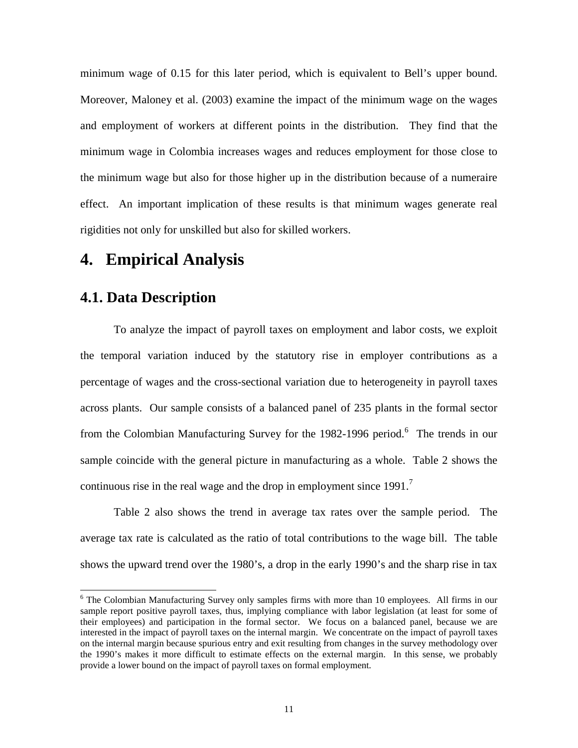minimum wage of 0.15 for this later period, which is equivalent to Bell's upper bound. Moreover, Maloney et al. (2003) examine the impact of the minimum wage on the wages and employment of workers at different points in the distribution. They find that the minimum wage in Colombia increases wages and reduces employment for those close to the minimum wage but also for those higher up in the distribution because of a numeraire effect. An important implication of these results is that minimum wages generate real rigidities not only for unskilled but also for skilled workers.

#### **4. Empirical Analysis**

#### **4.1. Data Description**

l

To analyze the impact of payroll taxes on employment and labor costs, we exploit the temporal variation induced by the statutory rise in employer contributions as a percentage of wages and the cross-sectional variation due to heterogeneity in payroll taxes across plants. Our sample consists of a balanced panel of 235 plants in the formal sector from the Colombian Manufacturing Survey for the 1982-1996 period.<sup>6</sup> The trends in our sample coincide with the general picture in manufacturing as a whole. Table 2 shows the continuous rise in the real wage and the drop in employment since 1991.<sup>7</sup>

Table 2 also shows the trend in average tax rates over the sample period. The average tax rate is calculated as the ratio of total contributions to the wage bill. The table shows the upward trend over the 1980's, a drop in the early 1990's and the sharp rise in tax

<sup>&</sup>lt;sup>6</sup> The Colombian Manufacturing Survey only samples firms with more than 10 employees. All firms in our sample report positive payroll taxes, thus, implying compliance with labor legislation (at least for some of their employees) and participation in the formal sector. We focus on a balanced panel, because we are interested in the impact of payroll taxes on the internal margin. We concentrate on the impact of payroll taxes on the internal margin because spurious entry and exit resulting from changes in the survey methodology over the 1990's makes it more difficult to estimate effects on the external margin. In this sense, we probably provide a lower bound on the impact of payroll taxes on formal employment.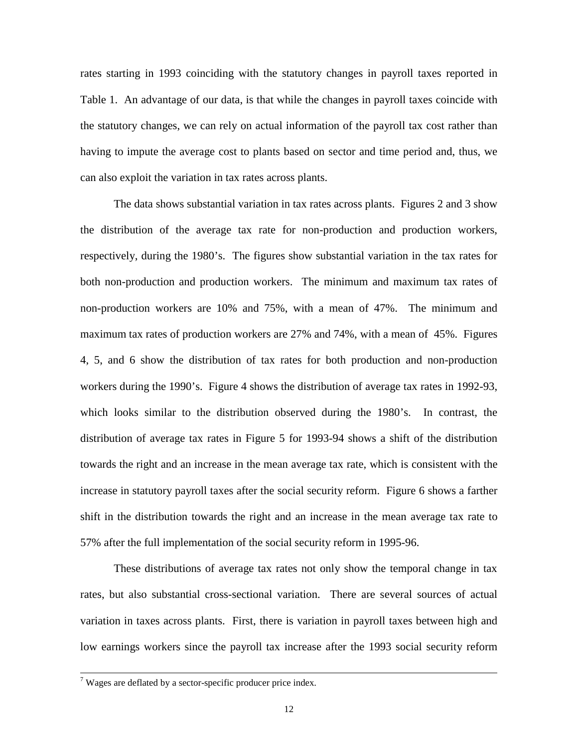rates starting in 1993 coinciding with the statutory changes in payroll taxes reported in Table 1. An advantage of our data, is that while the changes in payroll taxes coincide with the statutory changes, we can rely on actual information of the payroll tax cost rather than having to impute the average cost to plants based on sector and time period and, thus, we can also exploit the variation in tax rates across plants.

The data shows substantial variation in tax rates across plants. Figures 2 and 3 show the distribution of the average tax rate for non-production and production workers, respectively, during the 1980's. The figures show substantial variation in the tax rates for both non-production and production workers. The minimum and maximum tax rates of non-production workers are 10% and 75%, with a mean of 47%. The minimum and maximum tax rates of production workers are 27% and 74%, with a mean of 45%. Figures 4, 5, and 6 show the distribution of tax rates for both production and non-production workers during the 1990's. Figure 4 shows the distribution of average tax rates in 1992-93, which looks similar to the distribution observed during the 1980's. In contrast, the distribution of average tax rates in Figure 5 for 1993-94 shows a shift of the distribution towards the right and an increase in the mean average tax rate, which is consistent with the increase in statutory payroll taxes after the social security reform. Figure 6 shows a farther shift in the distribution towards the right and an increase in the mean average tax rate to 57% after the full implementation of the social security reform in 1995-96.

These distributions of average tax rates not only show the temporal change in tax rates, but also substantial cross-sectional variation. There are several sources of actual variation in taxes across plants. First, there is variation in payroll taxes between high and low earnings workers since the payroll tax increase after the 1993 social security reform

<sup>-&</sup>lt;br>7  $\alpha$ <sup>7</sup> Wages are deflated by a sector-specific producer price index.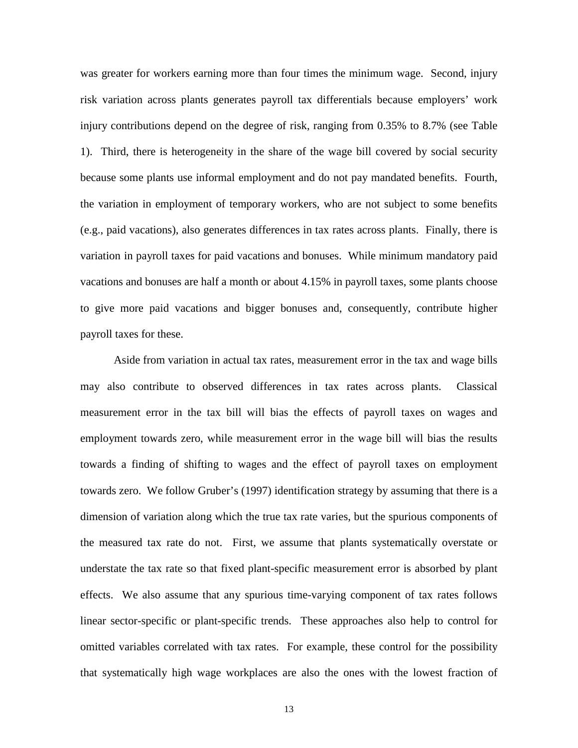was greater for workers earning more than four times the minimum wage. Second, injury risk variation across plants generates payroll tax differentials because employers' work injury contributions depend on the degree of risk, ranging from 0.35% to 8.7% (see Table 1). Third, there is heterogeneity in the share of the wage bill covered by social security because some plants use informal employment and do not pay mandated benefits. Fourth, the variation in employment of temporary workers, who are not subject to some benefits (e.g., paid vacations), also generates differences in tax rates across plants. Finally, there is variation in payroll taxes for paid vacations and bonuses. While minimum mandatory paid vacations and bonuses are half a month or about 4.15% in payroll taxes, some plants choose to give more paid vacations and bigger bonuses and, consequently, contribute higher payroll taxes for these.

Aside from variation in actual tax rates, measurement error in the tax and wage bills may also contribute to observed differences in tax rates across plants. Classical measurement error in the tax bill will bias the effects of payroll taxes on wages and employment towards zero, while measurement error in the wage bill will bias the results towards a finding of shifting to wages and the effect of payroll taxes on employment towards zero. We follow Gruber's (1997) identification strategy by assuming that there is a dimension of variation along which the true tax rate varies, but the spurious components of the measured tax rate do not. First, we assume that plants systematically overstate or understate the tax rate so that fixed plant-specific measurement error is absorbed by plant effects. We also assume that any spurious time-varying component of tax rates follows linear sector-specific or plant-specific trends. These approaches also help to control for omitted variables correlated with tax rates. For example, these control for the possibility that systematically high wage workplaces are also the ones with the lowest fraction of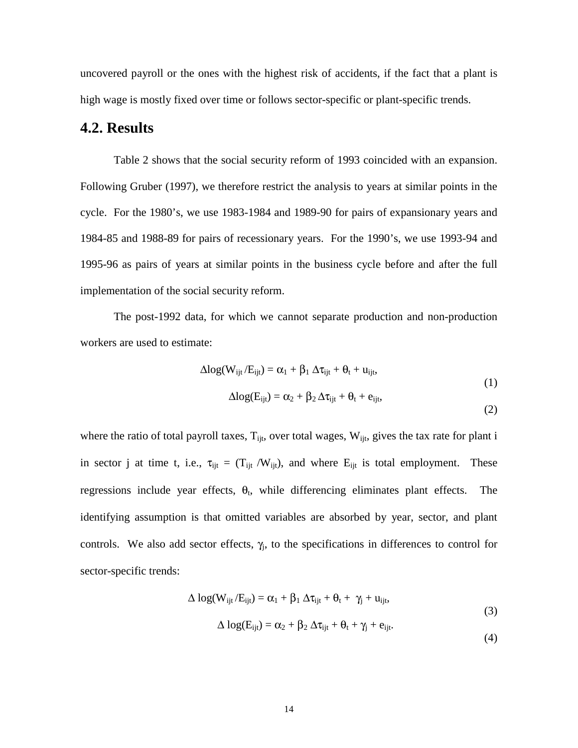uncovered payroll or the ones with the highest risk of accidents, if the fact that a plant is high wage is mostly fixed over time or follows sector-specific or plant-specific trends.

#### **4.2. Results**

Table 2 shows that the social security reform of 1993 coincided with an expansion. Following Gruber (1997), we therefore restrict the analysis to years at similar points in the cycle. For the 1980's, we use 1983-1984 and 1989-90 for pairs of expansionary years and 1984-85 and 1988-89 for pairs of recessionary years. For the 1990's, we use 1993-94 and 1995-96 as pairs of years at similar points in the business cycle before and after the full implementation of the social security reform.

The post-1992 data, for which we cannot separate production and non-production workers are used to estimate:

$$
\Delta \text{log}(W_{ijt}/E_{ijt}) = \alpha_1 + \beta_1 \, \Delta \tau_{ijt} + \theta_t + u_{ijt},
$$

$$
\Delta log(E_{ijt}) = \alpha_2 + \beta_2 \, \Delta \tau_{ijt} + \theta_t + e_{ijt},
$$

(1)

(2)

where the ratio of total payroll taxes,  $T_{\text{iit}}$ , over total wages,  $W_{\text{iit}}$ , gives the tax rate for plant i in sector j at time t, i.e.,  $\tau_{ijt} = (T_{ijt}/W_{ijt})$ , and where  $E_{ijt}$  is total employment. These regressions include year effects,  $\theta_t$ , while differencing eliminates plant effects. The identifying assumption is that omitted variables are absorbed by year, sector, and plant controls. We also add sector effects,  $\gamma_j$ , to the specifications in differences to control for sector-specific trends:

$$
\Delta \log(W_{ijt}/E_{ijt}) = \alpha_1 + \beta_1 \Delta \tau_{ijt} + \theta_t + \gamma_j + u_{ijt},
$$
  
\n
$$
\Delta \log(E_{ijt}) = \alpha_2 + \beta_2 \Delta \tau_{ijt} + \theta_t + \gamma_j + e_{ijt}.
$$
\n(3)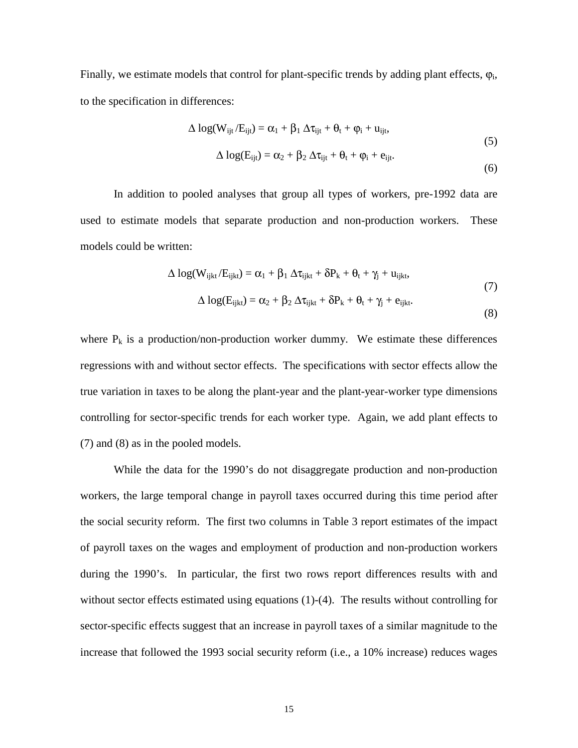Finally, we estimate models that control for plant-specific trends by adding plant effects,  $\varphi_i$ , to the specification in differences:

$$
\Delta \log(W_{ijt}/E_{ijt}) = \alpha_1 + \beta_1 \Delta \tau_{ijt} + \theta_t + \varphi_i + u_{ijt},
$$
  

$$
\Delta \log(E_{ijt}) = \alpha_2 + \beta_2 \Delta \tau_{ijt} + \theta_t + \varphi_i + e_{ijt}.
$$
 (5)

(6)

In addition to pooled analyses that group all types of workers, pre-1992 data are used to estimate models that separate production and non-production workers. These models could be written:

$$
\Delta \log(W_{ijkt}/E_{ijkt}) = \alpha_1 + \beta_1 \Delta \tau_{ijkt} + \delta P_k + \theta_t + \gamma_j + u_{ijkt},
$$
\n
$$
\Delta \log(W_{ijkt}/E_{ijkt}) = \alpha_1 + \beta_1 \Delta \tau_{ijkt} + \delta P_k + \theta_t + \gamma_j + u_{ijkt},
$$
\n(7)

$$
\Delta \log(E_{\text{ijkt}}) = \alpha_2 + \beta_2 \, \Delta \tau_{\text{ijkt}} + \delta P_k + \theta_t + \gamma_j + e_{\text{ijkt}}.
$$
\n(8)

where  $P_k$  is a production/non-production worker dummy. We estimate these differences regressions with and without sector effects. The specifications with sector effects allow the true variation in taxes to be along the plant-year and the plant-year-worker type dimensions controlling for sector-specific trends for each worker type. Again, we add plant effects to (7) and (8) as in the pooled models.

While the data for the 1990's do not disaggregate production and non-production workers, the large temporal change in payroll taxes occurred during this time period after the social security reform. The first two columns in Table 3 report estimates of the impact of payroll taxes on the wages and employment of production and non-production workers during the 1990's. In particular, the first two rows report differences results with and without sector effects estimated using equations (1)-(4). The results without controlling for sector-specific effects suggest that an increase in payroll taxes of a similar magnitude to the increase that followed the 1993 social security reform (i.e., a 10% increase) reduces wages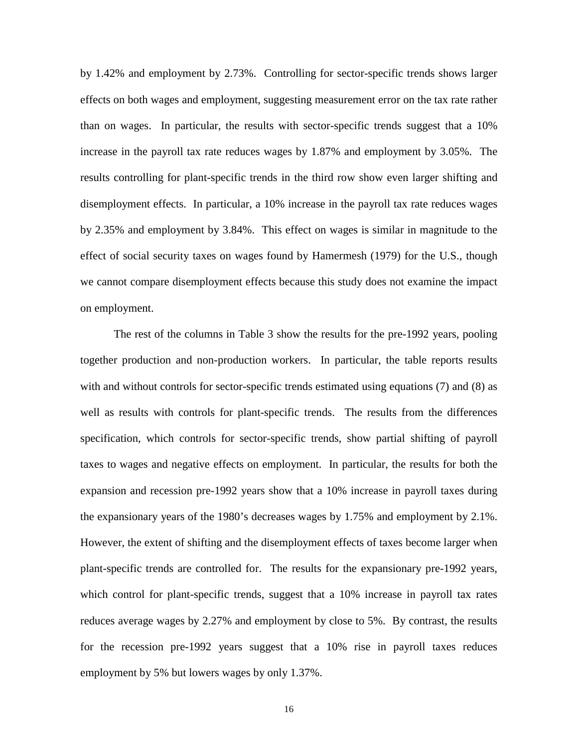by 1.42% and employment by 2.73%. Controlling for sector-specific trends shows larger effects on both wages and employment, suggesting measurement error on the tax rate rather than on wages. In particular, the results with sector-specific trends suggest that a 10% increase in the payroll tax rate reduces wages by 1.87% and employment by 3.05%. The results controlling for plant-specific trends in the third row show even larger shifting and disemployment effects. In particular, a 10% increase in the payroll tax rate reduces wages by 2.35% and employment by 3.84%. This effect on wages is similar in magnitude to the effect of social security taxes on wages found by Hamermesh (1979) for the U.S., though we cannot compare disemployment effects because this study does not examine the impact on employment.

The rest of the columns in Table 3 show the results for the pre-1992 years, pooling together production and non-production workers. In particular, the table reports results with and without controls for sector-specific trends estimated using equations (7) and (8) as well as results with controls for plant-specific trends. The results from the differences specification, which controls for sector-specific trends, show partial shifting of payroll taxes to wages and negative effects on employment. In particular, the results for both the expansion and recession pre-1992 years show that a 10% increase in payroll taxes during the expansionary years of the 1980's decreases wages by 1.75% and employment by 2.1%. However, the extent of shifting and the disemployment effects of taxes become larger when plant-specific trends are controlled for. The results for the expansionary pre-1992 years, which control for plant-specific trends, suggest that a 10% increase in payroll tax rates reduces average wages by 2.27% and employment by close to 5%. By contrast, the results for the recession pre-1992 years suggest that a 10% rise in payroll taxes reduces employment by 5% but lowers wages by only 1.37%.

16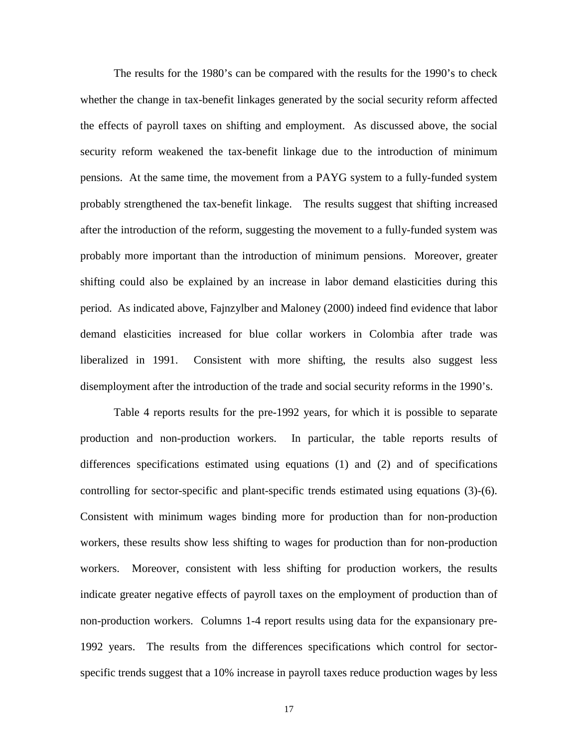The results for the 1980's can be compared with the results for the 1990's to check whether the change in tax-benefit linkages generated by the social security reform affected the effects of payroll taxes on shifting and employment. As discussed above, the social security reform weakened the tax-benefit linkage due to the introduction of minimum pensions. At the same time, the movement from a PAYG system to a fully-funded system probably strengthened the tax-benefit linkage. The results suggest that shifting increased after the introduction of the reform, suggesting the movement to a fully-funded system was probably more important than the introduction of minimum pensions. Moreover, greater shifting could also be explained by an increase in labor demand elasticities during this period. As indicated above, Fajnzylber and Maloney (2000) indeed find evidence that labor demand elasticities increased for blue collar workers in Colombia after trade was liberalized in 1991. Consistent with more shifting, the results also suggest less disemployment after the introduction of the trade and social security reforms in the 1990's.

Table 4 reports results for the pre-1992 years, for which it is possible to separate production and non-production workers. In particular, the table reports results of differences specifications estimated using equations (1) and (2) and of specifications controlling for sector-specific and plant-specific trends estimated using equations (3)-(6). Consistent with minimum wages binding more for production than for non-production workers, these results show less shifting to wages for production than for non-production workers. Moreover, consistent with less shifting for production workers, the results indicate greater negative effects of payroll taxes on the employment of production than of non-production workers. Columns 1-4 report results using data for the expansionary pre-1992 years. The results from the differences specifications which control for sectorspecific trends suggest that a 10% increase in payroll taxes reduce production wages by less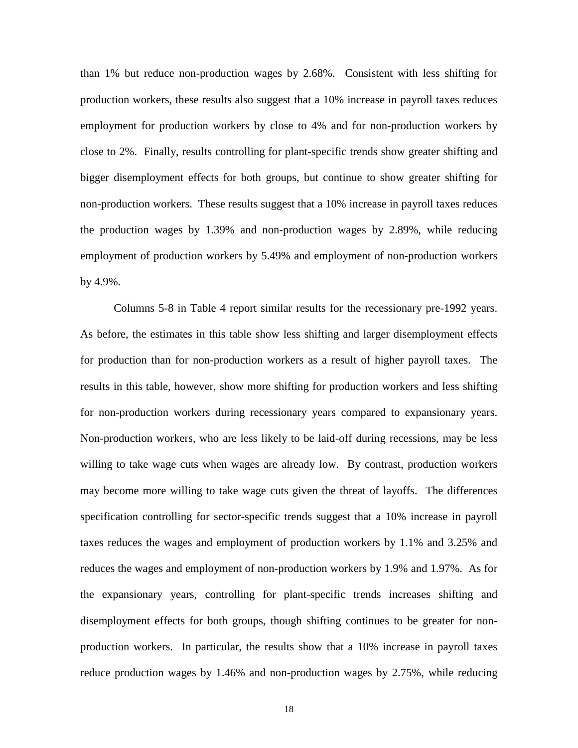than 1% but reduce non-production wages by 2.68%. Consistent with less shifting for production workers, these results also suggest that a 10% increase in payroll taxes reduces employment for production workers by close to 4% and for non-production workers by close to 2%. Finally, results controlling for plant-specific trends show greater shifting and bigger disemployment effects for both groups, but continue to show greater shifting for non-production workers. These results suggest that a 10% increase in payroll taxes reduces the production wages by 1.39% and non-production wages by 2.89%, while reducing employment of production workers by 5.49% and employment of non-production workers by 4.9%.

Columns 5-8 in Table 4 report similar results for the recessionary pre-1992 years. As before, the estimates in this table show less shifting and larger disemployment effects for production than for non-production workers as a result of higher payroll taxes. The results in this table, however, show more shifting for production workers and less shifting for non-production workers during recessionary years compared to expansionary years. Non-production workers, who are less likely to be laid-off during recessions, may be less willing to take wage cuts when wages are already low. By contrast, production workers may become more willing to take wage cuts given the threat of layoffs. The differences specification controlling for sector-specific trends suggest that a 10% increase in payroll taxes reduces the wages and employment of production workers by 1.1% and 3.25% and reduces the wages and employment of non-production workers by 1.9% and 1.97%. As for the expansionary years, controlling for plant-specific trends increases shifting and disemployment effects for both groups, though shifting continues to be greater for nonproduction workers. In particular, the results show that a 10% increase in payroll taxes reduce production wages by 1.46% and non-production wages by 2.75%, while reducing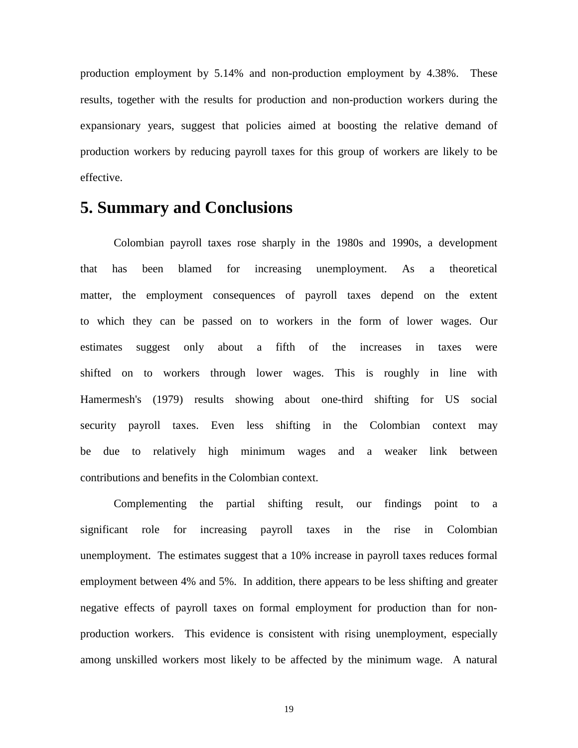production employment by 5.14% and non-production employment by 4.38%. These results, together with the results for production and non-production workers during the expansionary years, suggest that policies aimed at boosting the relative demand of production workers by reducing payroll taxes for this group of workers are likely to be effective.

#### **5. Summary and Conclusions**

Colombian payroll taxes rose sharply in the 1980s and 1990s, a development that has been blamed for increasing unemployment. As a theoretical matter, the employment consequences of payroll taxes depend on the extent to which they can be passed on to workers in the form of lower wages. Our estimates suggest only about a fifth of the increases in taxes were shifted on to workers through lower wages. This is roughly in line with Hamermesh's (1979) results showing about one-third shifting for US social security payroll taxes. Even less shifting in the Colombian context may be due to relatively high minimum wages and a weaker link between contributions and benefits in the Colombian context.

Complementing the partial shifting result, our findings point to a significant role for increasing payroll taxes in the rise in Colombian unemployment. The estimates suggest that a 10% increase in payroll taxes reduces formal employment between 4% and 5%. In addition, there appears to be less shifting and greater negative effects of payroll taxes on formal employment for production than for nonproduction workers. This evidence is consistent with rising unemployment, especially among unskilled workers most likely to be affected by the minimum wage. A natural

19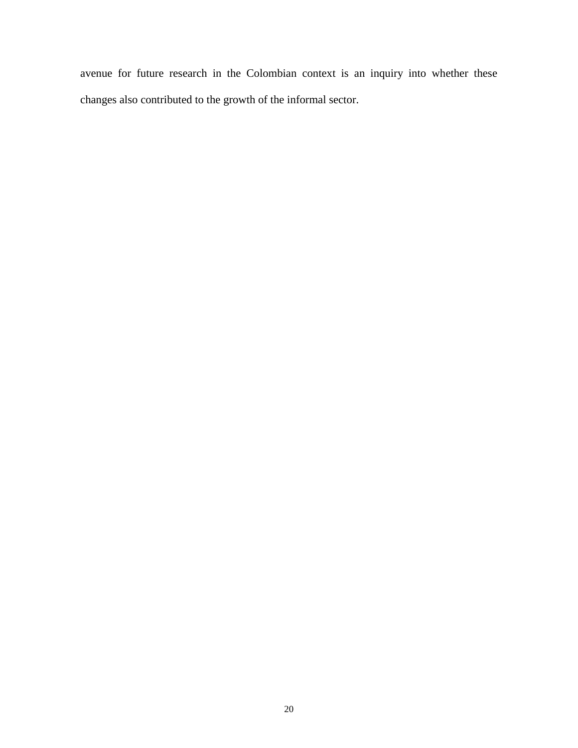avenue for future research in the Colombian context is an inquiry into whether these changes also contributed to the growth of the informal sector.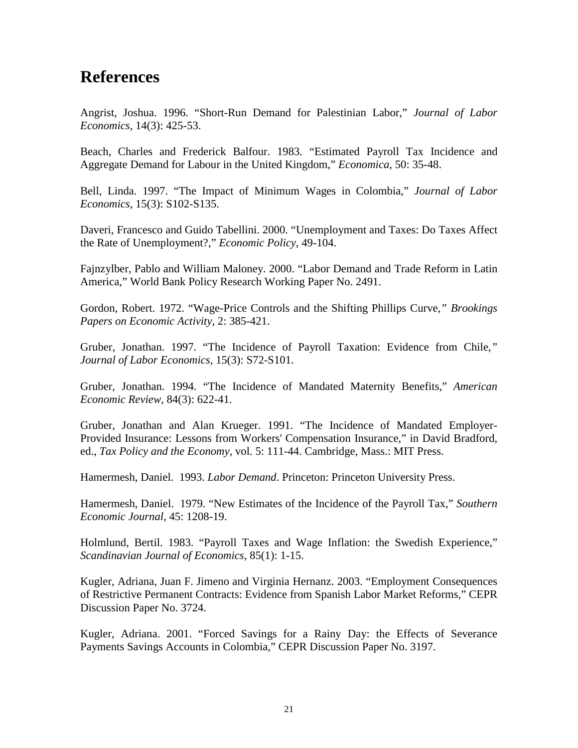#### **References**

Angrist, Joshua. 1996. "Short-Run Demand for Palestinian Labor," *Journal of Labor Economics*, 14(3): 425-53.

Beach, Charles and Frederick Balfour. 1983. "Estimated Payroll Tax Incidence and Aggregate Demand for Labour in the United Kingdom," *Economica*, 50: 35-48.

Bell, Linda. 1997. "The Impact of Minimum Wages in Colombia," *Journal of Labor Economics*, 15(3): S102-S135.

Daveri, Francesco and Guido Tabellini. 2000. "Unemployment and Taxes: Do Taxes Affect the Rate of Unemployment?," *Economic Policy*, 49-104.

Fajnzylber, Pablo and William Maloney. 2000. "Labor Demand and Trade Reform in Latin America," World Bank Policy Research Working Paper No. 2491.

Gordon, Robert. 1972. "Wage-Price Controls and the Shifting Phillips Curve*," Brookings Papers on Economic Activity,* 2: 385-421.

Gruber, Jonathan. 1997. "The Incidence of Payroll Taxation: Evidence from Chile*," Journal of Labor Economics*, 15(3): S72-S101.

Gruber, Jonathan. 1994. "The Incidence of Mandated Maternity Benefits," *American Economic Review*, 84(3): 622-41.

Gruber, Jonathan and Alan Krueger. 1991. "The Incidence of Mandated Employer-Provided Insurance: Lessons from Workers' Compensation Insurance," in David Bradford, ed., *Tax Policy and the Economy*, vol. 5: 111-44. Cambridge, Mass.: MIT Press.

Hamermesh, Daniel. 1993. *Labor Demand*. Princeton: Princeton University Press.

Hamermesh, Daniel. 1979. "New Estimates of the Incidence of the Payroll Tax," *Southern Economic Journal*, 45: 1208-19.

Holmlund, Bertil. 1983. "Payroll Taxes and Wage Inflation: the Swedish Experience," *Scandinavian Journal of Economics*, 85(1): 1-15.

Kugler, Adriana, Juan F. Jimeno and Virginia Hernanz. 2003. "Employment Consequences of Restrictive Permanent Contracts: Evidence from Spanish Labor Market Reforms," CEPR Discussion Paper No. 3724.

Kugler, Adriana. 2001. "Forced Savings for a Rainy Day: the Effects of Severance Payments Savings Accounts in Colombia," CEPR Discussion Paper No. 3197.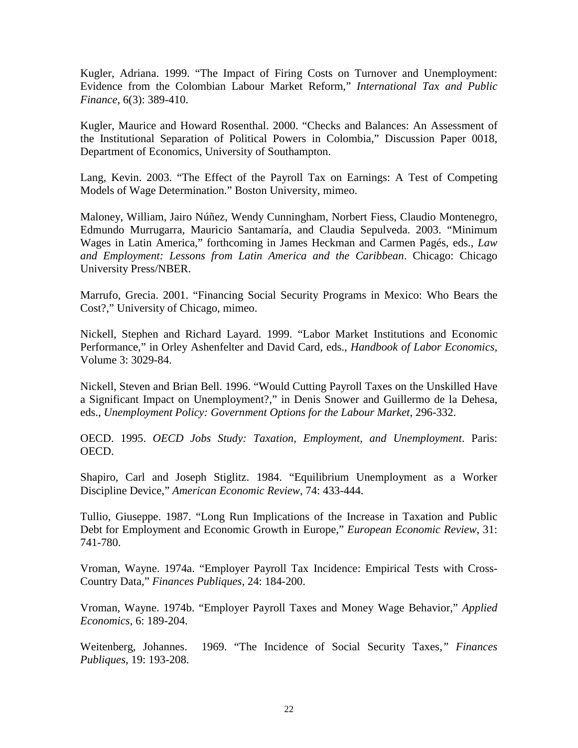Kugler, Adriana. 1999. "The Impact of Firing Costs on Turnover and Unemployment: Evidence from the Colombian Labour Market Reform," *International Tax and Public Finance*, 6(3): 389-410.

Kugler, Maurice and Howard Rosenthal. 2000. "Checks and Balances: An Assessment of the Institutional Separation of Political Powers in Colombia," Discussion Paper 0018, Department of Economics, University of Southampton.

Lang, Kevin. 2003. "The Effect of the Payroll Tax on Earnings: A Test of Competing Models of Wage Determination." Boston University, mimeo.

Maloney, William, Jairo Núñez, Wendy Cunningham, Norbert Fiess, Claudio Montenegro, Edmundo Murrugarra, Mauricio Santamaría, and Claudia Sepulveda. 2003. "Minimum Wages in Latin America," forthcoming in James Heckman and Carmen Pagés, eds., *Law and Employment: Lessons from Latin America and the Caribbean*. Chicago: Chicago University Press/NBER.

Marrufo, Grecia. 2001. "Financing Social Security Programs in Mexico: Who Bears the Cost?," University of Chicago, mimeo.

Nickell, Stephen and Richard Layard. 1999. "Labor Market Institutions and Economic Performance," in Orley Ashenfelter and David Card, eds., *Handbook of Labor Economics,* Volume 3: 3029-84.

Nickell, Steven and Brian Bell. 1996. "Would Cutting Payroll Taxes on the Unskilled Have a Significant Impact on Unemployment?," in Denis Snower and Guillermo de la Dehesa, eds., *Unemployment Policy: Government Options for the Labour Market*, 296-332.

OECD. 1995. *OECD Jobs Study: Taxation, Employment, and Unemployment*. Paris: OECD.

Shapiro, Carl and Joseph Stiglitz. 1984. "Equilibrium Unemployment as a Worker Discipline Device," *American Economic Review*, 74: 433-444.

Tullio, Giuseppe. 1987. "Long Run Implications of the Increase in Taxation and Public Debt for Employment and Economic Growth in Europe," *European Economic Review*, 31: 741-780.

Vroman, Wayne. 1974a. "Employer Payroll Tax Incidence: Empirical Tests with Cross-Country Data," *Finances Publiques*, 24: 184-200.

Vroman, Wayne. 1974b. "Employer Payroll Taxes and Money Wage Behavior," *Applied Economics*, 6: 189-204.

Weitenberg, Johannes. 1969. "The Incidence of Social Security Taxes*," Finances Publiques*, 19: 193-208.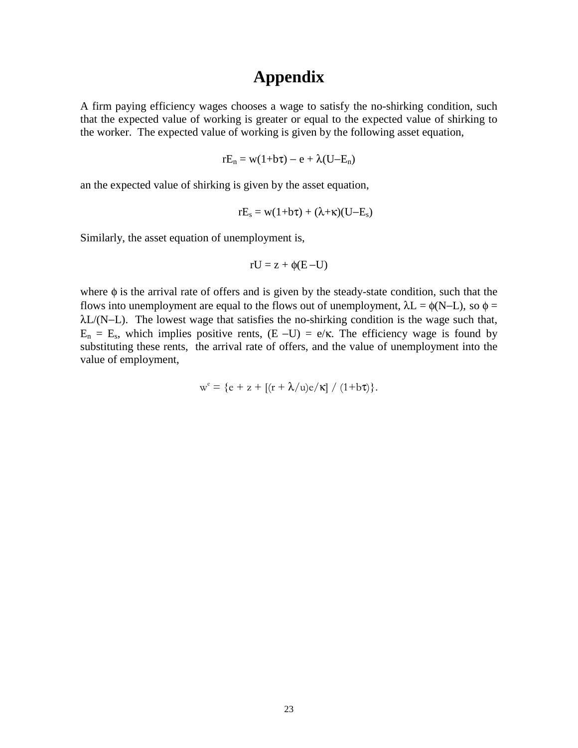#### **Appendix**

A firm paying efficiency wages chooses a wage to satisfy the no-shirking condition, such that the expected value of working is greater or equal to the expected value of shirking to the worker. The expected value of working is given by the following asset equation,

$$
rE_n = w(1+b\tau) - e + \lambda(U-E_n)
$$

an the expected value of shirking is given by the asset equation,

$$
rE_s = w(1+b\tau) + (\lambda + \kappa)(U-E_s)
$$

Similarly, the asset equation of unemployment is,

$$
rU = z + \phi(E-U)
$$

where  $\phi$  is the arrival rate of offers and is given by the steady-state condition, such that the flows into unemployment are equal to the flows out of unemployment,  $\lambda L = \phi(N-L)$ , so  $\phi =$  $λL/(N-L)$ . The lowest wage that satisfies the no-shirking condition is the wage such that,  $E_n = E_s$ , which implies positive rents,  $(E-U) = e/\kappa$ . The efficiency wage is found by substituting these rents, the arrival rate of offers, and the value of unemployment into the value of employment,

$$
w^e = \{e + z + \left[ (r + \lambda/u)e/\kappa \right] / (1 + b\tau) \}.
$$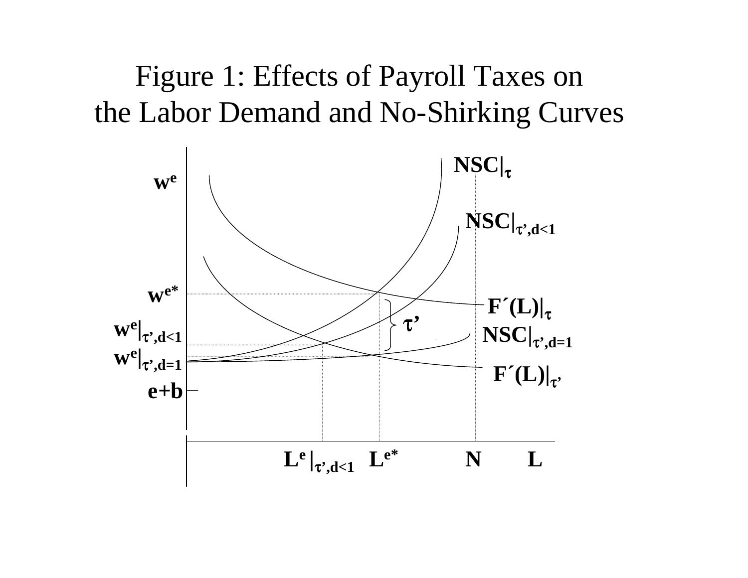# Figure 1: Effects of Payroll Taxes on the Labor Demand and No-Shirking Curves

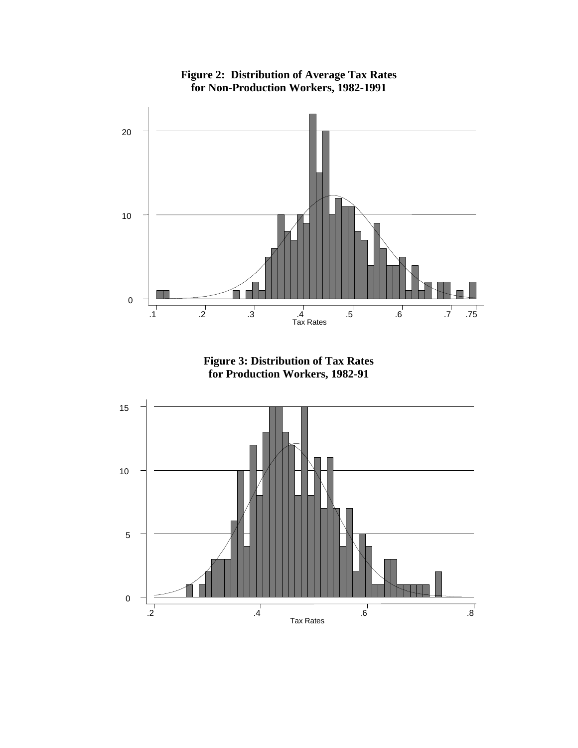

**Figure 2: Distribution of Average Tax Rates for Non-Production Workers, 1982-1991**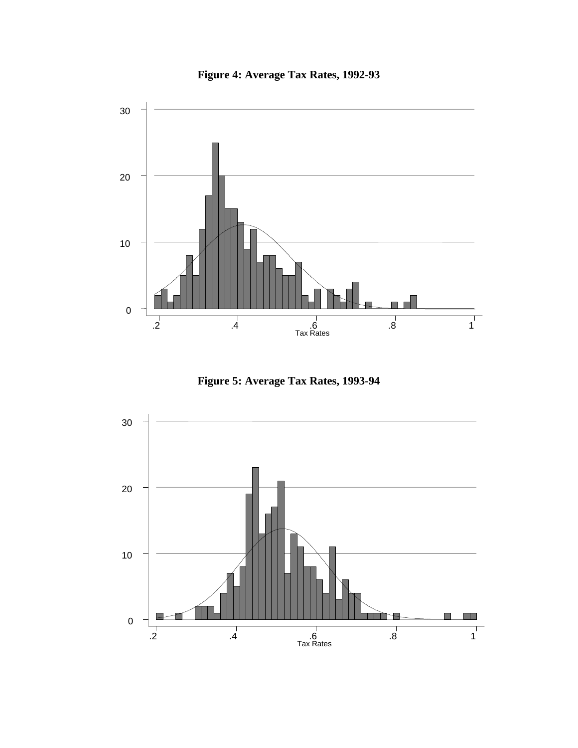



**Figure 5: Average Tax Rates, 1993-94**

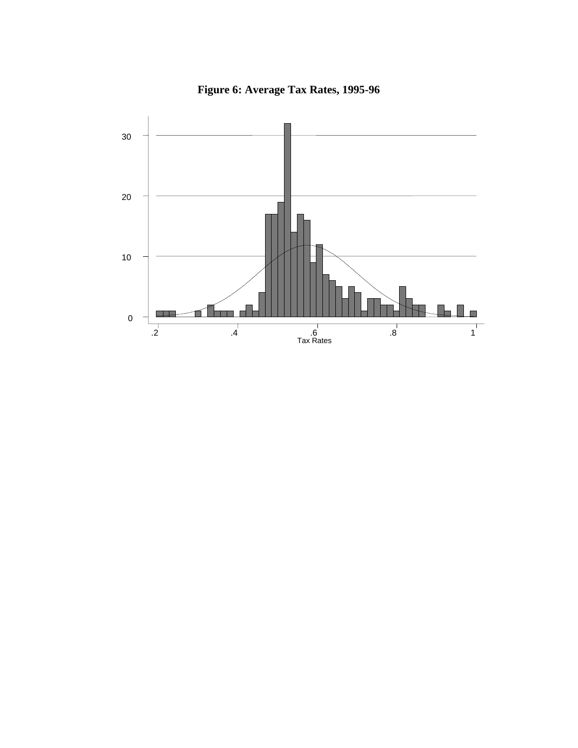

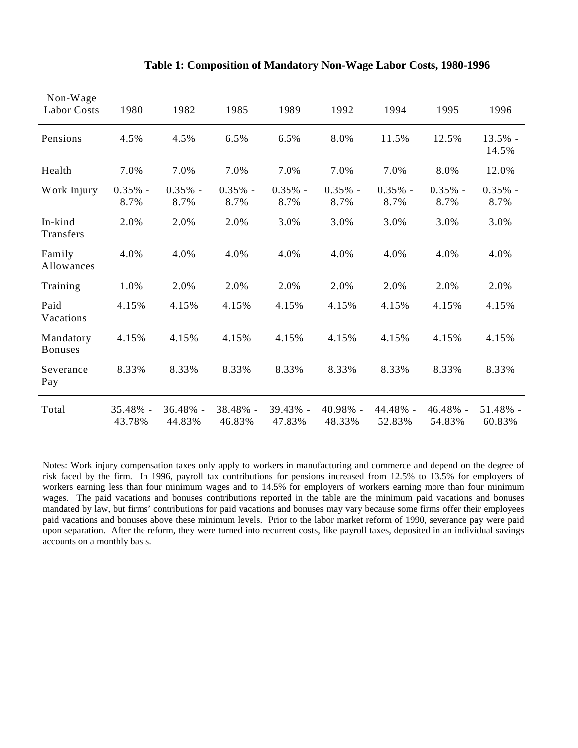| Non-Wage<br><b>Labor Costs</b> | 1980               | 1982               | 1985               | 1989               | 1992               | 1994               | 1995               | 1996               |
|--------------------------------|--------------------|--------------------|--------------------|--------------------|--------------------|--------------------|--------------------|--------------------|
| Pensions                       | 4.5%               | 4.5%               | 6.5%               | 6.5%               | 8.0%               | 11.5%              | 12.5%              | $13.5%$ -<br>14.5% |
| Health                         | 7.0%               | 7.0%               | 7.0%               | 7.0%               | 7.0%               | 7.0%               | 8.0%               | 12.0%              |
| Work Injury                    | $0.35%$ -<br>8.7%  | $0.35%$ -<br>8.7%  | $0.35%$ -<br>8.7%  | $0.35%$ -<br>8.7%  | $0.35%$ -<br>8.7%  | $0.35%$ -<br>8.7%  | $0.35%$ -<br>8.7%  | $0.35%$ -<br>8.7%  |
| In-kind<br>Transfers           | 2.0%               | 2.0%               | 2.0%               | 3.0%               | 3.0%               | 3.0%               | 3.0%               | 3.0%               |
| Family<br>Allowances           | 4.0%               | 4.0%               | 4.0%               | 4.0%               | 4.0%               | 4.0%               | 4.0%               | 4.0%               |
| Training                       | 1.0%               | 2.0%               | 2.0%               | 2.0%               | 2.0%               | 2.0%               | 2.0%               | 2.0%               |
| Paid<br>Vacations              | 4.15%              | 4.15%              | 4.15%              | 4.15%              | 4.15%              | 4.15%              | 4.15%              | 4.15%              |
| Mandatory<br><b>Bonuses</b>    | 4.15%              | 4.15%              | 4.15%              | 4.15%              | 4.15%              | 4.15%              | 4.15%              | 4.15%              |
| Severance<br>Pay               | 8.33%              | 8.33%              | 8.33%              | 8.33%              | 8.33%              | 8.33%              | 8.33%              | 8.33%              |
| Total                          | 35.48% -<br>43.78% | 36.48% -<br>44.83% | 38.48% -<br>46.83% | 39.43% -<br>47.83% | 40.98% -<br>48.33% | 44.48% -<br>52.83% | 46.48% -<br>54.83% | 51.48% -<br>60.83% |

#### **Table 1: Composition of Mandatory Non-Wage Labor Costs, 1980-1996**

Notes: Work injury compensation taxes only apply to workers in manufacturing and commerce and depend on the degree of risk faced by the firm. In 1996, payroll tax contributions for pensions increased from 12.5% to 13.5% for employers of workers earning less than four minimum wages and to 14.5% for employers of workers earning more than four minimum wages. The paid vacations and bonuses contributions reported in the table are the minimum paid vacations and bonuses mandated by law, but firms' contributions for paid vacations and bonuses may vary because some firms offer their employees paid vacations and bonuses above these minimum levels. Prior to the labor market reform of 1990, severance pay were paid upon separation. After the reform, they were turned into recurrent costs, like payroll taxes, deposited in an individual savings accounts on a monthly basis.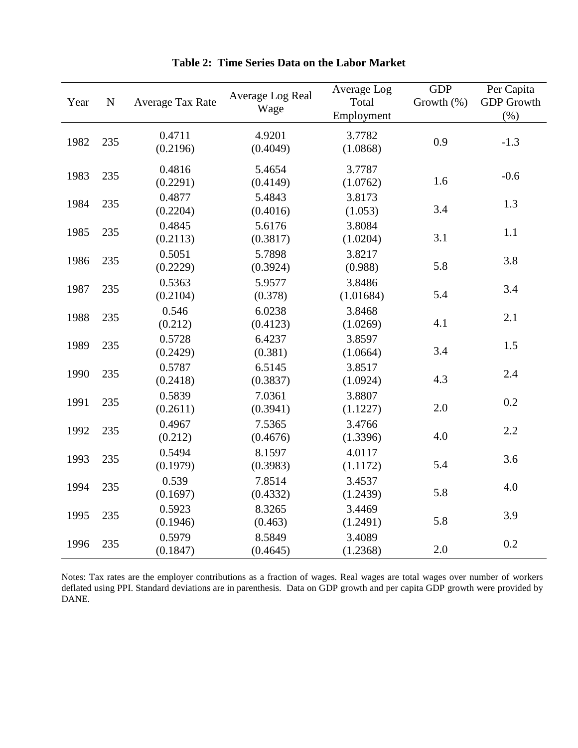| Year | ${\bf N}$ | Average Tax Rate   | Average Log Real<br>Wage | Average Log<br>Total<br>Employment | <b>GDP</b><br>Growth (%) | Per Capita<br><b>GDP</b> Growth<br>$(\% )$ |
|------|-----------|--------------------|--------------------------|------------------------------------|--------------------------|--------------------------------------------|
| 1982 | 235       | 0.4711<br>(0.2196) | 4.9201<br>(0.4049)       | 3.7782<br>(1.0868)                 | 0.9                      | $-1.3$                                     |
| 1983 | 235       | 0.4816<br>(0.2291) | 5.4654<br>(0.4149)       | 3.7787<br>(1.0762)                 | 1.6                      | $-0.6$                                     |
| 1984 | 235       | 0.4877<br>(0.2204) | 5.4843<br>(0.4016)       | 3.8173<br>(1.053)                  | 3.4                      | 1.3                                        |
| 1985 | 235       | 0.4845<br>(0.2113) | 5.6176<br>(0.3817)       | 3.8084<br>(1.0204)                 | 3.1                      | 1.1                                        |
| 1986 | 235       | 0.5051<br>(0.2229) | 5.7898<br>(0.3924)       | 3.8217<br>(0.988)                  | 5.8                      | 3.8                                        |
| 1987 | 235       | 0.5363<br>(0.2104) | 5.9577<br>(0.378)        | 3.8486<br>(1.01684)                | 5.4                      | 3.4                                        |
| 1988 | 235       | 0.546<br>(0.212)   | 6.0238<br>(0.4123)       | 3.8468<br>(1.0269)                 | 4.1                      | 2.1                                        |
| 1989 | 235       | 0.5728<br>(0.2429) | 6.4237<br>(0.381)        | 3.8597<br>(1.0664)                 | 3.4                      | 1.5                                        |
| 1990 | 235       | 0.5787<br>(0.2418) | 6.5145<br>(0.3837)       | 3.8517<br>(1.0924)                 | 4.3                      | 2.4                                        |
| 1991 | 235       | 0.5839<br>(0.2611) | 7.0361<br>(0.3941)       | 3.8807<br>(1.1227)                 | 2.0                      | 0.2                                        |
| 1992 | 235       | 0.4967<br>(0.212)  | 7.5365<br>(0.4676)       | 3.4766<br>(1.3396)                 | 4.0                      | 2.2                                        |
| 1993 | 235       | 0.5494<br>(0.1979) | 8.1597<br>(0.3983)       | 4.0117<br>(1.1172)                 | 5.4                      | 3.6                                        |
| 1994 | 235       | 0.539<br>(0.1697)  | 7.8514<br>(0.4332)       | 3.4537<br>(1.2439)                 | 5.8                      | 4.0                                        |
| 1995 | 235       | 0.5923<br>(0.1946) | 8.3265<br>(0.463)        | 3.4469<br>(1.2491)                 | 5.8                      | 3.9                                        |
| 1996 | 235       | 0.5979<br>(0.1847) | 8.5849<br>(0.4645)       | 3.4089<br>(1.2368)                 | 2.0                      | 0.2                                        |

**Table 2: Time Series Data on the Labor Market**

Notes: Tax rates are the employer contributions as a fraction of wages. Real wages are total wages over number of workers deflated using PPI. Standard deviations are in parenthesis. Data on GDP growth and per capita GDP growth were provided by DANE.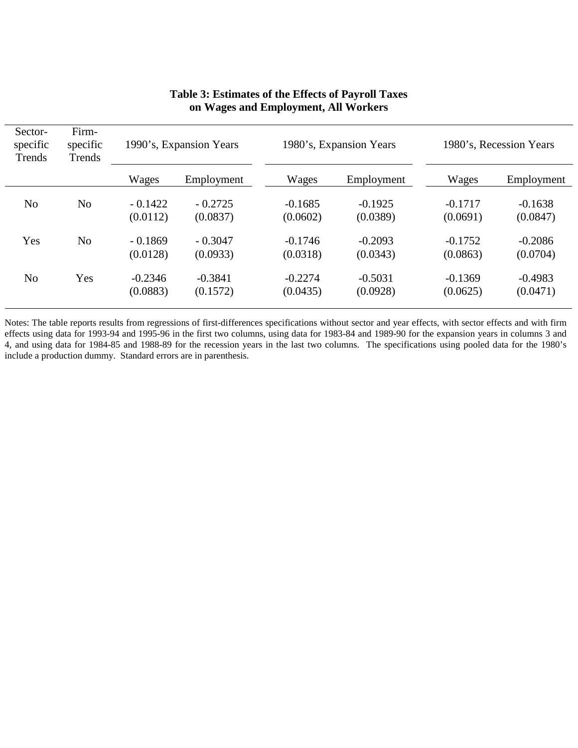| Sector-<br>specific<br>Trends | Firm-<br>specific<br>Trends | 1990's, Expansion Years |                       |                       | 1980's, Expansion Years |                       | 1980's, Recession Years |  |  |
|-------------------------------|-----------------------------|-------------------------|-----------------------|-----------------------|-------------------------|-----------------------|-------------------------|--|--|
|                               |                             | Wages                   | Employment            | Wages                 | Employment              | Wages                 | Employment              |  |  |
| N <sub>o</sub>                | No                          | $-0.1422$<br>(0.0112)   | $-0.2725$<br>(0.0837) | $-0.1685$<br>(0.0602) | $-0.1925$<br>(0.0389)   | $-0.1717$<br>(0.0691) | $-0.1638$<br>(0.0847)   |  |  |
| Yes                           | N <sub>o</sub>              | $-0.1869$<br>(0.0128)   | $-0.3047$<br>(0.0933) | $-0.1746$<br>(0.0318) | $-0.2093$<br>(0.0343)   | $-0.1752$<br>(0.0863) | $-0.2086$<br>(0.0704)   |  |  |
| N <sub>o</sub>                | Yes                         | $-0.2346$<br>(0.0883)   | $-0.3841$<br>(0.1572) | $-0.2274$<br>(0.0435) | $-0.5031$<br>(0.0928)   | $-0.1369$<br>(0.0625) | $-0.4983$<br>(0.0471)   |  |  |

#### **Table 3: Estimates of the Effects of Payroll Taxes on Wages and Employment, All Workers**

Notes: The table reports results from regressions of first-differences specifications without sector and year effects, with sector effects and with firm effects using data for 1993-94 and 1995-96 in the first two columns, using data for 1983-84 and 1989-90 for the expansion years in columns 3 and 4, and using data for 1984-85 and 1988-89 for the recession years in the last two columns. The specifications using pooled data for the 1980's include a production dummy. Standard errors are in parenthesis.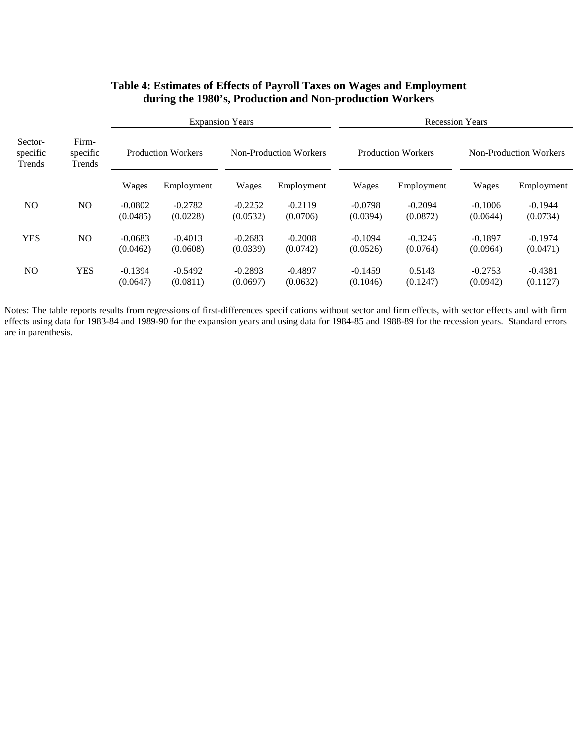#### **Table 4: Estimates of Effects of Payroll Taxes on Wages and Employment during the 1980's, Production and Non-production Workers**

|                               |                             | <b>Expansion Years</b>    |                       |                        | <b>Recession Years</b> |                           |                       |                               |                       |
|-------------------------------|-----------------------------|---------------------------|-----------------------|------------------------|------------------------|---------------------------|-----------------------|-------------------------------|-----------------------|
| Sector-<br>specific<br>Trends | Firm-<br>specific<br>Trends | <b>Production Workers</b> |                       | Non-Production Workers |                        | <b>Production Workers</b> |                       | <b>Non-Production Workers</b> |                       |
|                               |                             | Wages                     | Employment            | Wages                  | Employment             | Wages                     | Employment            | Wages                         | Employment            |
| NO.                           | N <sub>O</sub>              | $-0.0802$<br>(0.0485)     | $-0.2782$<br>(0.0228) | $-0.2252$<br>(0.0532)  | $-0.2119$<br>(0.0706)  | $-0.0798$<br>(0.0394)     | $-0.2094$<br>(0.0872) | $-0.1006$<br>(0.0644)         | $-0.1944$<br>(0.0734) |
| <b>YES</b>                    | N <sub>O</sub>              | $-0.0683$<br>(0.0462)     | $-0.4013$<br>(0.0608) | $-0.2683$<br>(0.0339)  | $-0.2008$<br>(0.0742)  | $-0.1094$<br>(0.0526)     | $-0.3246$<br>(0.0764) | $-0.1897$<br>(0.0964)         | $-0.1974$<br>(0.0471) |
| N <sub>O</sub>                | <b>YES</b>                  | $-0.1394$<br>(0.0647)     | $-0.5492$<br>(0.0811) | $-0.2893$<br>(0.0697)  | $-0.4897$<br>(0.0632)  | $-0.1459$<br>(0.1046)     | 0.5143<br>(0.1247)    | $-0.2753$<br>(0.0942)         | $-0.4381$<br>(0.1127) |

Notes: The table reports results from regressions of first-differences specifications without sector and firm effects, with sector effects and with firm effects using data for 1983-84 and 1989-90 for the expansion years and using data for 1984-85 and 1988-89 for the recession years. Standard errors are in parenthesis.